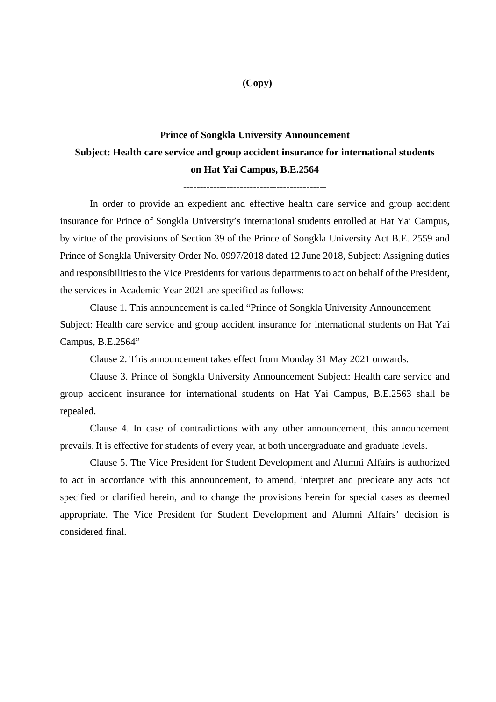## **(Copy)**

# **Prince of Songkla University Announcement Subject: Health care service and group accident insurance for international students on Hat Yai Campus, B.E.2564**

In order to provide an expedient and effective health care service and group accident insurance for Prince of Songkla University's international students enrolled at Hat Yai Campus, by virtue of the provisions of Section 39 of the Prince of Songkla University Act B.E. 2559 and Prince of Songkla University Order No. 0997/2018 dated 12 June 2018, Subject: Assigning duties and responsibilities to the Vice Presidents for various departments to act on behalf of the President, the services in Academic Year 2021 are specified as follows:

Clause 1. This announcement is called "Prince of Songkla University Announcement Subject: Health care service and group accident insurance for international students on Hat Yai Campus, B.E.2564"

Clause 2. This announcement takes effect from Monday 31 May 2021 onwards.

Clause 3. Prince of Songkla University Announcement Subject: Health care service and group accident insurance for international students on Hat Yai Campus, B.E.2563 shall be repealed.

Clause 4. In case of contradictions with any other announcement, this announcement prevails. It is effective for students of every year, at both undergraduate and graduate levels.

Clause 5. The Vice President for Student Development and Alumni Affairs is authorized to act in accordance with this announcement, to amend, interpret and predicate any acts not specified or clarified herein, and to change the provisions herein for special cases as deemed appropriate. The Vice President for Student Development and Alumni Affairs' decision is considered final.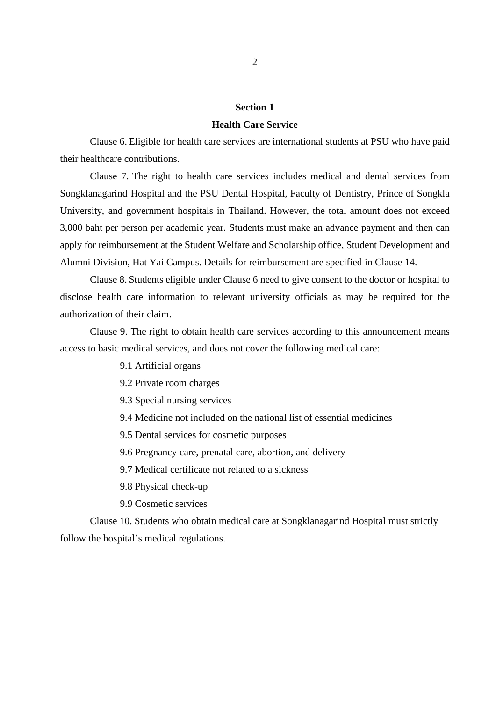## **Section 1**

#### **Health Care Service**

Clause 6. Eligible for health care services are international students at PSU who have paid their healthcare contributions.

Clause 7. The right to health care services includes medical and dental services from Songklanagarind Hospital and the PSU Dental Hospital, Faculty of Dentistry, Prince of Songkla University, and government hospitals in Thailand. However, the total amount does not exceed 3,000 baht per person per academic year. Students must make an advance payment and then can apply for reimbursement at the Student Welfare and Scholarship office, Student Development and Alumni Division, Hat Yai Campus. Details for reimbursement are specified in Clause 14.

Clause 8. Students eligible under Clause 6 need to give consent to the doctor or hospital to disclose health care information to relevant university officials as may be required for the authorization of their claim.

Clause 9. The right to obtain health care services according to this announcement means access to basic medical services, and does not cover the following medical care:

- 9.1 Artificial organs
- 9.2 Private room charges
- 9.3 Special nursing services
- 9.4 Medicine not included on the national list of essential medicines
- 9.5 Dental services for cosmetic purposes
- 9.6 Pregnancy care, prenatal care, abortion, and delivery
- 9.7 Medical certificate not related to a sickness
- 9.8 Physical check-up
- 9.9 Cosmetic services

Clause 10. Students who obtain medical care at Songklanagarind Hospital must strictly follow the hospital's medical regulations.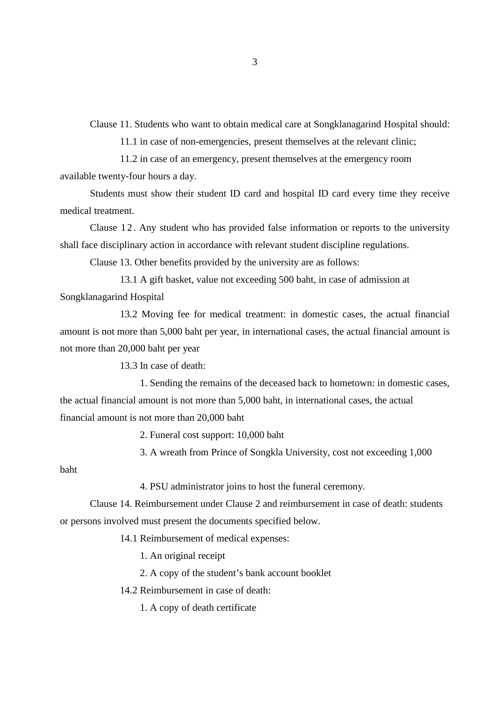Clause 11. Students who want to obtain medical care at Songklanagarind Hospital should:

11.1 in case of non-emergencies, present themselves at the relevant clinic;

11.2 in case of an emergency, present themselves at the emergency room

available twenty-four hours a day.

Students must show their student ID card and hospital ID card every time they receive medical treatment.

Clause 12. Any student who has provided false information or reports to the university shall face disciplinary action in accordance with relevant student discipline regulations.

Clause 13. Other benefits provided by the university are as follows:

 13.1 A gift basket, value not exceeding 500 baht, in case of admission at Songklanagarind Hospital

13.2 Moving fee for medical treatment: in domestic cases, the actual financial amount is not more than 5,000 baht per year, in international cases, the actual financial amount is not more than 20,000 baht per year

13.3 In case of death:

 1. Sending the remains of the deceased back to hometown: in domestic cases, the actual financial amount is not more than 5,000 baht, in international cases, the actual financial amount is not more than 20,000 baht

2. Funeral cost support: 10,000 baht

3. A wreath from Prince of Songkla University, cost not exceeding 1,000

baht

4. PSU administrator joins to host the funeral ceremony.

Clause 14. Reimbursement under Clause 2 and reimbursement in case of death: students or persons involved must present the documents specified below.

14.1 Reimbursement of medical expenses:

1. An original receipt

2. A copy of the student's bank account booklet

14.2 Reimbursement in case of death:

1. A copy of death certificate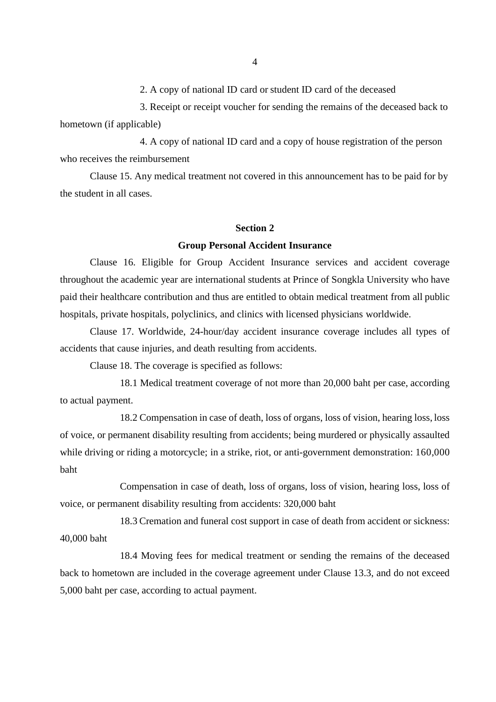2. A copy of national ID card or student ID card of the deceased

 3. Receipt or receipt voucher for sending the remains of the deceased back to hometown (if applicable)

 4. A copy of national ID card and a copy of house registration of the person who receives the reimbursement

Clause 15. Any medical treatment not covered in this announcement has to be paid for by the student in all cases.

### **Section 2**

#### **Group Personal Accident Insurance**

Clause 16. Eligible for Group Accident Insurance services and accident coverage throughout the academic year are international students at Prince of Songkla University who have paid their healthcare contribution and thus are entitled to obtain medical treatment from all public hospitals, private hospitals, polyclinics, and clinics with licensed physicians worldwide.

Clause 17. Worldwide, 24-hour/day accident insurance coverage includes all types of accidents that cause injuries, and death resulting from accidents.

Clause 18. The coverage is specified as follows:

 18.1 Medical treatment coverage of not more than 20,000 baht per case, according to actual payment.

 18.2 Compensation in case of death, loss of organs, loss of vision, hearing loss, loss of voice, or permanent disability resulting from accidents; being murdered or physically assaulted while driving or riding a motorcycle; in a strike, riot, or anti-government demonstration: 160,000 baht

Compensation in case of death, loss of organs, loss of vision, hearing loss, loss of voice, or permanent disability resulting from accidents: 320,000 baht

 18.3 Cremation and funeral cost support in case of death from accident or sickness: 40,000 baht

 18.4 Moving fees for medical treatment or sending the remains of the deceased back to hometown are included in the coverage agreement under Clause 13.3, and do not exceed 5,000 baht per case, according to actual payment.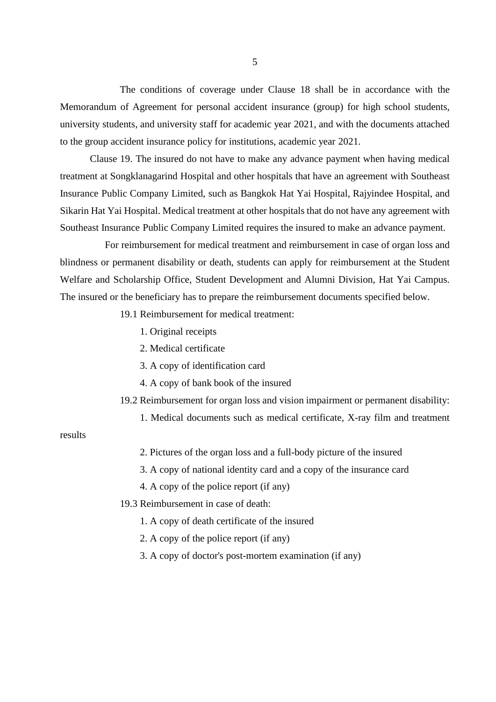The conditions of coverage under Clause 18 shall be in accordance with the Memorandum of Agreement for personal accident insurance (group) for high school students, university students, and university staff for academic year 2021, and with the documents attached to the group accident insurance policy for institutions, academic year 2021.

Clause 19. The insured do not have to make any advance payment when having medical treatment at Songklanagarind Hospital and other hospitals that have an agreement with Southeast Insurance Public Company Limited, such as Bangkok Hat Yai Hospital, Rajyindee Hospital, and Sikarin Hat Yai Hospital. Medical treatment at other hospitals that do not have any agreement with Southeast Insurance Public Company Limited requires the insured to make an advance payment.

 For reimbursement for medical treatment and reimbursement in case of organ loss and blindness or permanent disability or death, students can apply for reimbursement at the Student Welfare and Scholarship Office, Student Development and Alumni Division, Hat Yai Campus. The insured or the beneficiary has to prepare the reimbursement documents specified below.

- 19.1 Reimbursement for medical treatment:
	- 1. Original receipts
	- 2. Medical certificate
	- 3. A copy of identification card
	- 4. A copy of bank book of the insured
- 19.2 Reimbursement for organ loss and vision impairment or permanent disability:
	- 1. Medical documents such as medical certificate, X-ray film and treatment

## results

- 2. Pictures of the organ loss and a full-body picture of the insured
- 3. A copy of national identity card and a copy of the insurance card
- 4. A copy of the police report (if any)
- 19.3 Reimbursement in case of death:
	- 1. A copy of death certificate of the insured
	- 2. A copy of the police report (if any)
	- 3. A copy of doctor's post-mortem examination (if any)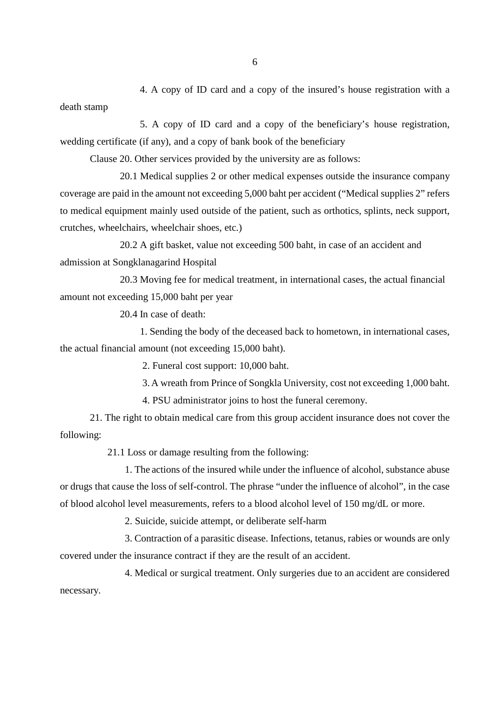4. A copy of ID card and a copy of the insured's house registration with a death stamp

 5. A copy of ID card and a copy of the beneficiary's house registration, wedding certificate (if any), and a copy of bank book of the beneficiary

Clause 20. Other services provided by the university are as follows:

 20.1 Medical supplies 2 or other medical expenses outside the insurance company coverage are paid in the amount not exceeding 5,000 baht per accident ("Medical supplies 2" refers to medical equipment mainly used outside of the patient, such as orthotics, splints, neck support, crutches, wheelchairs, wheelchair shoes, etc.)

 20.2 A gift basket, value not exceeding 500 baht, in case of an accident and admission at Songklanagarind Hospital

 20.3 Moving fee for medical treatment, in international cases, the actual financial amount not exceeding 15,000 baht per year

20.4 In case of death:

 1. Sending the body of the deceased back to hometown, in international cases, the actual financial amount (not exceeding 15,000 baht).

2. Funeral cost support: 10,000 baht.

3.A wreath from Prince of Songkla University, cost not exceeding 1,000 baht.

4. PSU administrator joins to host the funeral ceremony.

21. The right to obtain medical care from this group accident insurance does not cover the following:

21.1 Loss or damage resulting from the following:

 1. The actions of the insured while under the influence of alcohol, substance abuse or drugs that cause the loss of self-control. The phrase "under the influence of alcohol", in the case of blood alcohol level measurements, refers to a blood alcohol level of 150 mg/dL or more.

2. Suicide, suicide attempt, or deliberate self-harm

 3. Contraction of a parasitic disease. Infections, tetanus, rabies or wounds are only covered under the insurance contract if they are the result of an accident.

 4. Medical or surgical treatment. Only surgeries due to an accident are considered necessary.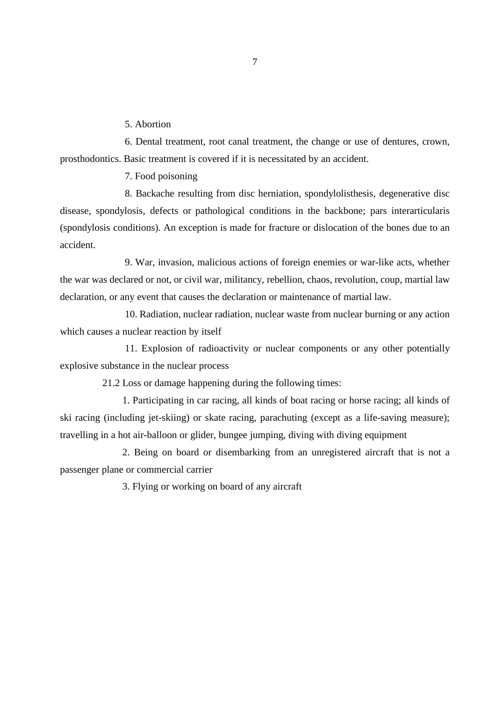5. Abortion

 6. Dental treatment, root canal treatment, the change or use of dentures, crown, prosthodontics. Basic treatment is covered if it is necessitated by an accident.

7. Food poisoning

 8. Backache resulting from disc herniation, spondylolisthesis, degenerative disc disease, spondylosis, defects or pathological conditions in the backbone; pars interarticularis (spondylosis conditions). An exception is made for fracture or dislocation of the bones due to an accident.

 9. War, invasion, malicious actions of foreign enemies or war-like acts, whether the war was declared or not, or civil war, militancy, rebellion, chaos, revolution, coup, martial law declaration, or any event that causes the declaration or maintenance of martial law.

 10. Radiation, nuclear radiation, nuclear waste from nuclear burning or any action which causes a nuclear reaction by itself

 11. Explosion of radioactivity or nuclear components or any other potentially explosive substance in the nuclear process

21.2 Loss or damage happening during the following times:

1. Participating in car racing, all kinds of boat racing or horse racing; all kinds of ski racing (including jet-skiing) or skate racing, parachuting (except as a life-saving measure); travelling in a hot air-balloon or glider, bungee jumping, diving with diving equipment

2. Being on board or disembarking from an unregistered aircraft that is not a passenger plane or commercial carrier

3. Flying or working on board of any aircraft